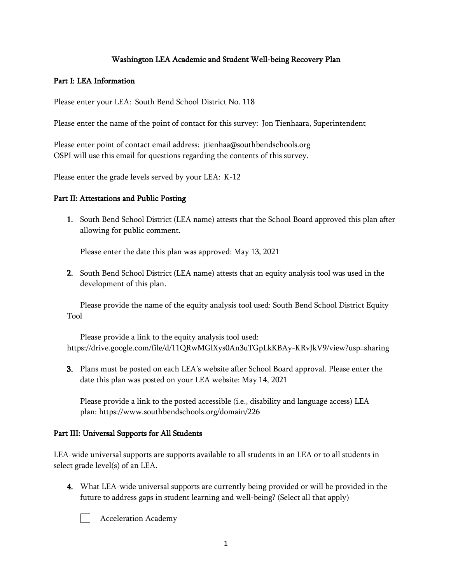# Washington LEA Academic and Student Well-being Recovery Plan

### Part I: LEA Information

Please enter your LEA: South Bend School District No. 118

Please enter the name of the point of contact for this survey: Jon Tienhaara, Superintendent

Please enter point of contact email address: jtienhaa@southbendschools.org OSPI will use this email for questions regarding the contents of this survey.

Please enter the grade levels served by your LEA: K-12

#### Part II: Attestations and Public Posting

1. South Bend School District (LEA name) attests that the School Board approved this plan after allowing for public comment.

Please enter the date this plan was approved: May 13, 2021

2. South Bend School District (LEA name) attests that an equity analysis tool was used in the development of this plan.

Please provide the name of the equity analysis tool used: South Bend School District Equity Tool

Please provide a link to the equity analysis tool used: https://drive.google.com/file/d/11QRwMGlXys0An3uTGpLkKBAy-KRvJkV9/view?usp=sharing

3. Plans must be posted on each LEA's website after School Board approval. Please enter the date this plan was posted on your LEA website: May 14, 2021

Please provide a link to the posted accessible (i.e., disability and language access) LEA plan: https://www.southbendschools.org/domain/226

## Part III: Universal Supports for All Students

LEA-wide universal supports are supports available to all students in an LEA or to all students in select grade level(s) of an LEA.

4. What LEA-wide universal supports are currently being provided or will be provided in the future to address gaps in student learning and well-being? (Select all that apply)



Acceleration Academy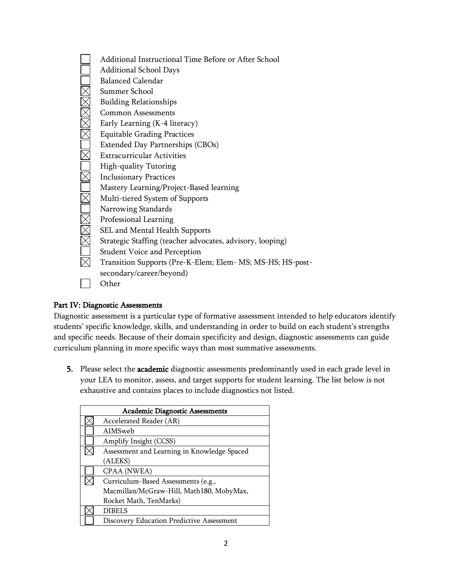Additional Instructional Time Before or After School Additional School Days Balanced Calendar <u> TMMOMOMOMMAR</u> Summer School Building Relationships Common Assessments Early Learning (K-4 literacy) Equitable Grading Practices Extended Day Partnerships (CBOs) Extracurricular Activities High-quality Tutoring Inclusionary Practices Mastery Learning/Project-Based learning Multi-tiered System of Supports Narrowing Standards Professional Learning SEL and Mental Health Supports Strategic Staffing (teacher advocates, advisory, looping) Student Voice and Perception  $\overline{\nabla}$ Transition Supports (Pre-K-Elem; Elem- MS; MS-HS; HS-postsecondary/career/beyond) **Other** 

# Part IV: Diagnostic Assessments

Diagnostic assessment is a particular type of formative assessment intended to help educators identify students' specific knowledge, skills, and understanding in order to build on each student's strengths and specific needs. Because of their domain specificity and design, diagnostic assessments can guide curriculum planning in more specific ways than most summative assessments.

5. Please select the academic diagnostic assessments predominantly used in each grade level in your LEA to monitor, assess, and target supports for student learning. The list below is not exhaustive and contains places to include diagnostics not listed.

| <b>Academic Diagnostic Assessments</b> |                                             |  |
|----------------------------------------|---------------------------------------------|--|
|                                        | Accelerated Reader (AR)                     |  |
|                                        | AIMSweb                                     |  |
|                                        | Amplify Insight (CCSS)                      |  |
|                                        | Assessment and Learning in Knowledge Spaced |  |
|                                        | (ALEKS)                                     |  |
|                                        | CPAA (NWEA)                                 |  |
|                                        | Curriculum-Based Assessments (e.g.,         |  |
|                                        | Macmillan/McGraw-Hill, Math180, MobyMax,    |  |
|                                        | Rocket Math, TenMarks)                      |  |
|                                        | <b>DIBELS</b>                               |  |
|                                        | Discovery Education Predictive Assessment   |  |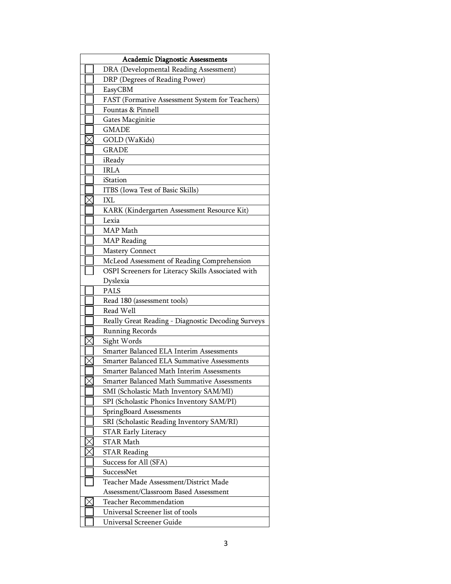| <b>Academic Diagnostic Assessments</b> |                                                    |  |  |
|----------------------------------------|----------------------------------------------------|--|--|
|                                        | DRA (Developmental Reading Assessment)             |  |  |
|                                        | DRP (Degrees of Reading Power)                     |  |  |
|                                        | EasyCBM                                            |  |  |
|                                        | FAST (Formative Assessment System for Teachers)    |  |  |
|                                        | Fountas & Pinnell                                  |  |  |
|                                        | Gates Macginitie                                   |  |  |
|                                        | <b>GMADE</b>                                       |  |  |
|                                        | GOLD (WaKids)                                      |  |  |
|                                        | <b>GRADE</b>                                       |  |  |
|                                        | iReady                                             |  |  |
|                                        | <b>IRLA</b>                                        |  |  |
|                                        | iStation                                           |  |  |
|                                        | ITBS (Iowa Test of Basic Skills)                   |  |  |
|                                        | IXL                                                |  |  |
|                                        | KARK (Kindergarten Assessment Resource Kit)        |  |  |
|                                        | Lexia                                              |  |  |
|                                        | MAP Math                                           |  |  |
|                                        | <b>MAP</b> Reading                                 |  |  |
|                                        | <b>Mastery Connect</b>                             |  |  |
|                                        | McLeod Assessment of Reading Comprehension         |  |  |
|                                        | OSPI Screeners for Literacy Skills Associated with |  |  |
|                                        | Dyslexia                                           |  |  |
|                                        | PALS                                               |  |  |
|                                        | Read 180 (assessment tools)                        |  |  |
|                                        | Read Well                                          |  |  |
|                                        | Really Great Reading - Diagnostic Decoding Surveys |  |  |
|                                        | <b>Running Records</b>                             |  |  |
|                                        | Sight Words                                        |  |  |
|                                        | Smarter Balanced ELA Interim Assessments           |  |  |
|                                        | Smarter Balanced ELA Summative Assessments         |  |  |
|                                        | Smarter Balanced Math Interim Assessments          |  |  |
|                                        | Smarter Balanced Math Summative Assessments        |  |  |
|                                        | SMI (Scholastic Math Inventory SAM/MI)             |  |  |
|                                        | SPI (Scholastic Phonics Inventory SAM/PI)          |  |  |
|                                        | SpringBoard Assessments                            |  |  |
|                                        | SRI (Scholastic Reading Inventory SAM/RI)          |  |  |
|                                        | <b>STAR Early Literacy</b>                         |  |  |
|                                        | <b>STAR Math</b>                                   |  |  |
|                                        | <b>STAR Reading</b>                                |  |  |
|                                        | Success for All (SFA)                              |  |  |
|                                        | SuccessNet                                         |  |  |
|                                        | Teacher Made Assessment/District Made              |  |  |
|                                        | Assessment/Classroom Based Assessment              |  |  |
|                                        | <b>Teacher Recommendation</b>                      |  |  |
|                                        | Universal Screener list of tools                   |  |  |
|                                        | Universal Screener Guide                           |  |  |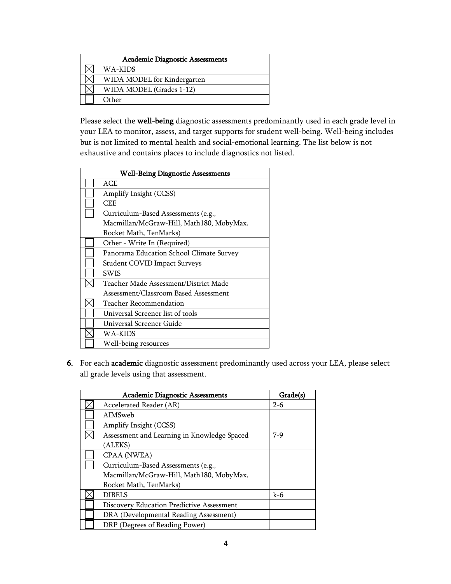| <b>Academic Diagnostic Assessments</b> |                             |  |  |
|----------------------------------------|-----------------------------|--|--|
|                                        | WA-KIDS                     |  |  |
|                                        | WIDA MODEL for Kindergarten |  |  |
|                                        | WIDA MODEL (Grades 1-12)    |  |  |
|                                        | Other                       |  |  |

Please select the well-being diagnostic assessments predominantly used in each grade level in your LEA to monitor, assess, and target supports for student well-being. Well-being includes but is not limited to mental health and social-emotional learning. The list below is not exhaustive and contains places to include diagnostics not listed.

| <b>Well-Being Diagnostic Assessments</b> |                                          |  |
|------------------------------------------|------------------------------------------|--|
|                                          | ACE                                      |  |
|                                          | Amplify Insight (CCSS)                   |  |
|                                          | <b>CEE</b>                               |  |
|                                          | Curriculum-Based Assessments (e.g.,      |  |
|                                          | Macmillan/McGraw-Hill, Math180, MobyMax, |  |
|                                          | Rocket Math, TenMarks)                   |  |
|                                          | Other - Write In (Required)              |  |
|                                          | Panorama Education School Climate Survey |  |
|                                          | Student COVID Impact Surveys             |  |
|                                          | <b>SWIS</b>                              |  |
|                                          | Teacher Made Assessment/District Made    |  |
|                                          | Assessment/Classroom Based Assessment    |  |
|                                          | Teacher Recommendation                   |  |
|                                          | Universal Screener list of tools         |  |
|                                          | Universal Screener Guide                 |  |
|                                          | WA-KIDS                                  |  |
|                                          | Well-being resources                     |  |

6. For each academic diagnostic assessment predominantly used across your LEA, please select all grade levels using that assessment.

| <b>Academic Diagnostic Assessments</b>      | Grade(s) |
|---------------------------------------------|----------|
| Accelerated Reader (AR)                     | $2-6$    |
| AIMSweb                                     |          |
| Amplify Insight (CCSS)                      |          |
| Assessment and Learning in Knowledge Spaced | $7-9$    |
| (ALEKS)                                     |          |
| CPAA (NWEA)                                 |          |
| Curriculum-Based Assessments (e.g.,         |          |
| Macmillan/McGraw-Hill, Math180, MobyMax,    |          |
| Rocket Math, TenMarks)                      |          |
| <b>DIBELS</b>                               | $k-6$    |
| Discovery Education Predictive Assessment   |          |
| DRA (Developmental Reading Assessment)      |          |
| DRP (Degrees of Reading Power)              |          |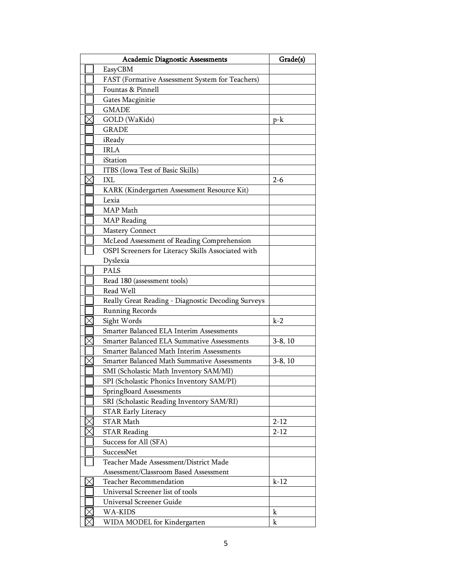| <b>Academic Diagnostic Assessments</b> |                                                    | Grade(s)  |
|----------------------------------------|----------------------------------------------------|-----------|
|                                        | EasyCBM                                            |           |
|                                        | FAST (Formative Assessment System for Teachers)    |           |
|                                        | Fountas & Pinnell                                  |           |
|                                        | Gates Macginitie                                   |           |
|                                        | <b>GMADE</b>                                       |           |
|                                        | GOLD (WaKids)                                      | $p-k$     |
|                                        | GRADE                                              |           |
|                                        | iReady                                             |           |
|                                        | <b>IRLA</b>                                        |           |
|                                        | iStation                                           |           |
|                                        | ITBS (Iowa Test of Basic Skills)                   |           |
|                                        | <b>IXL</b>                                         | $2 - 6$   |
|                                        | KARK (Kindergarten Assessment Resource Kit)        |           |
|                                        | Lexia                                              |           |
|                                        | MAP Math                                           |           |
|                                        | <b>MAP</b> Reading                                 |           |
|                                        | <b>Mastery Connect</b>                             |           |
|                                        | McLeod Assessment of Reading Comprehension         |           |
|                                        | OSPI Screeners for Literacy Skills Associated with |           |
|                                        | Dyslexia                                           |           |
|                                        | PALS                                               |           |
|                                        | Read 180 (assessment tools)                        |           |
|                                        | Read Well                                          |           |
|                                        | Really Great Reading - Diagnostic Decoding Surveys |           |
|                                        | <b>Running Records</b>                             |           |
|                                        | Sight Words                                        | $k-2$     |
|                                        | Smarter Balanced ELA Interim Assessments           |           |
|                                        | Smarter Balanced ELA Summative Assessments         | $3-8, 10$ |
|                                        | Smarter Balanced Math Interim Assessments          |           |
|                                        | Smarter Balanced Math Summative Assessments        | $3-8, 10$ |
|                                        | SMI (Scholastic Math Inventory SAM/MI)             |           |
|                                        | SPI (Scholastic Phonics Inventory SAM/PI)          |           |
|                                        | SpringBoard Assessments                            |           |
|                                        | SRI (Scholastic Reading Inventory SAM/RI)          |           |
|                                        | <b>STAR Early Literacy</b>                         |           |
|                                        | <b>STAR Math</b>                                   | $2 - 12$  |
|                                        | <b>STAR Reading</b>                                | $2 - 12$  |
|                                        | Success for All (SFA)                              |           |
|                                        | SuccessNet                                         |           |
|                                        | Teacher Made Assessment/District Made              |           |
|                                        | Assessment/Classroom Based Assessment              |           |
|                                        | <b>Teacher Recommendation</b>                      | $k-12$    |
|                                        | Universal Screener list of tools                   |           |
|                                        | Universal Screener Guide                           |           |
|                                        | WA-KIDS                                            | $\bf k$   |
|                                        | WIDA MODEL for Kindergarten                        | $\bf k$   |
|                                        |                                                    |           |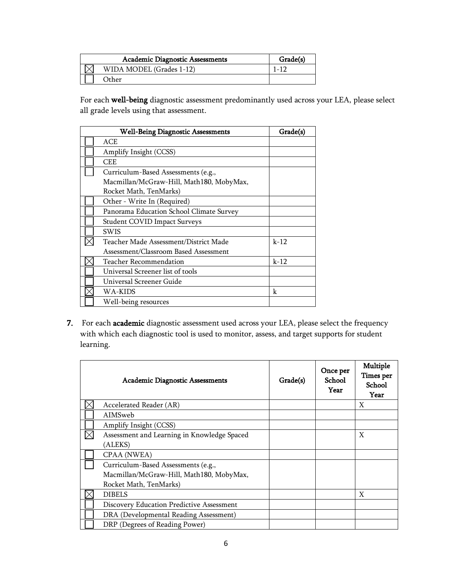|  | Grade(s)                 |           |
|--|--------------------------|-----------|
|  | WIDA MODEL (Grades 1-12) | $1 - 1$ . |
|  | Other:                   |           |

For each well-being diagnostic assessment predominantly used across your LEA, please select all grade levels using that assessment.

| <b>Well-Being Diagnostic Assessments</b> |                                          | Grade(s) |
|------------------------------------------|------------------------------------------|----------|
|                                          | ACE                                      |          |
|                                          | Amplify Insight (CCSS)                   |          |
|                                          | CEE                                      |          |
|                                          | Curriculum-Based Assessments (e.g.,      |          |
|                                          | Macmillan/McGraw-Hill, Math180, MobyMax, |          |
|                                          | Rocket Math, TenMarks)                   |          |
|                                          | Other - Write In (Required)              |          |
|                                          | Panorama Education School Climate Survey |          |
|                                          | <b>Student COVID Impact Surveys</b>      |          |
|                                          | <b>SWIS</b>                              |          |
|                                          | Teacher Made Assessment/District Made    | $k-12$   |
|                                          | Assessment/Classroom Based Assessment    |          |
|                                          | Teacher Recommendation                   | $k-12$   |
|                                          | Universal Screener list of tools         |          |
|                                          | Universal Screener Guide                 |          |
|                                          | WA-KIDS                                  | k        |
|                                          | Well-being resources                     |          |

7. For each academic diagnostic assessment used across your LEA, please select the frequency with which each diagnostic tool is used to monitor, assess, and target supports for student learning.

| <b>Academic Diagnostic Assessments</b>      | Grade(s) | Once per<br>School<br>Year | Multiple<br>Times per<br>School<br>Year |
|---------------------------------------------|----------|----------------------------|-----------------------------------------|
| Accelerated Reader (AR)                     |          |                            | X                                       |
| AIMSweb                                     |          |                            |                                         |
| Amplify Insight (CCSS)                      |          |                            |                                         |
| Assessment and Learning in Knowledge Spaced |          |                            | X                                       |
| (ALEKS)                                     |          |                            |                                         |
| CPAA (NWEA)                                 |          |                            |                                         |
| Curriculum-Based Assessments (e.g.,         |          |                            |                                         |
| Macmillan/McGraw-Hill, Math180, MobyMax,    |          |                            |                                         |
| Rocket Math, TenMarks)                      |          |                            |                                         |
| <b>DIBELS</b>                               |          |                            | X                                       |
| Discovery Education Predictive Assessment   |          |                            |                                         |
| DRA (Developmental Reading Assessment)      |          |                            |                                         |
| DRP (Degrees of Reading Power)              |          |                            |                                         |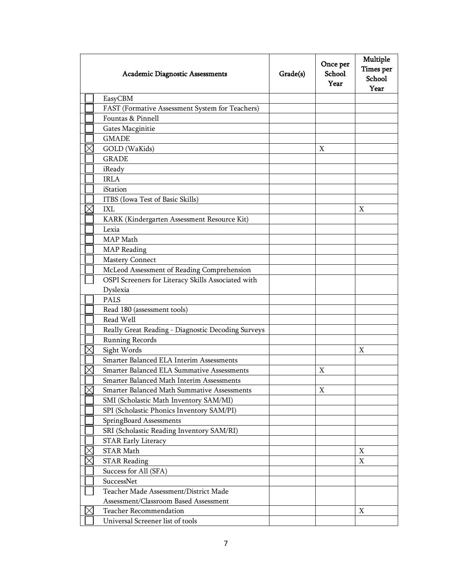| <b>Academic Diagnostic Assessments</b>             | Grade(s) | Once per<br>School<br>Year | Multiple<br>Times per<br>School<br>Year |
|----------------------------------------------------|----------|----------------------------|-----------------------------------------|
| EasyCBM                                            |          |                            |                                         |
| FAST (Formative Assessment System for Teachers)    |          |                            |                                         |
| Fountas & Pinnell                                  |          |                            |                                         |
| Gates Macginitie                                   |          |                            |                                         |
| <b>GMADE</b>                                       |          |                            |                                         |
| GOLD (WaKids)                                      |          | X                          |                                         |
| <b>GRADE</b>                                       |          |                            |                                         |
| iReady                                             |          |                            |                                         |
| <b>IRLA</b>                                        |          |                            |                                         |
| iStation                                           |          |                            |                                         |
| ITBS (Iowa Test of Basic Skills)                   |          |                            |                                         |
| IXL                                                |          |                            | X                                       |
| KARK (Kindergarten Assessment Resource Kit)        |          |                            |                                         |
| Lexia                                              |          |                            |                                         |
| MAP Math                                           |          |                            |                                         |
| <b>MAP</b> Reading                                 |          |                            |                                         |
| <b>Mastery Connect</b>                             |          |                            |                                         |
| McLeod Assessment of Reading Comprehension         |          |                            |                                         |
| OSPI Screeners for Literacy Skills Associated with |          |                            |                                         |
| Dyslexia                                           |          |                            |                                         |
| <b>PALS</b>                                        |          |                            |                                         |
| Read 180 (assessment tools)                        |          |                            |                                         |
| Read Well                                          |          |                            |                                         |
| Really Great Reading - Diagnostic Decoding Surveys |          |                            |                                         |
| <b>Running Records</b>                             |          |                            |                                         |
| Sight Words                                        |          |                            | X                                       |
| Smarter Balanced ELA Interim Assessments           |          |                            |                                         |
| Smarter Balanced ELA Summative Assessments         |          | X                          |                                         |
| Smarter Balanced Math Interim Assessments          |          |                            |                                         |
| Smarter Balanced Math Summative Assessments        |          | Χ                          |                                         |
| SMI (Scholastic Math Inventory SAM/MI)             |          |                            |                                         |
| SPI (Scholastic Phonics Inventory SAM/PI)          |          |                            |                                         |
| SpringBoard Assessments                            |          |                            |                                         |
| SRI (Scholastic Reading Inventory SAM/RI)          |          |                            |                                         |
| <b>STAR Early Literacy</b>                         |          |                            |                                         |
| <b>STAR Math</b>                                   |          |                            | X                                       |
| <b>STAR Reading</b>                                |          |                            | X                                       |
| Success for All (SFA)                              |          |                            |                                         |
| SuccessNet                                         |          |                            |                                         |
| Teacher Made Assessment/District Made              |          |                            |                                         |
| Assessment/Classroom Based Assessment              |          |                            |                                         |
| <b>Teacher Recommendation</b>                      |          |                            | X                                       |
| Universal Screener list of tools                   |          |                            |                                         |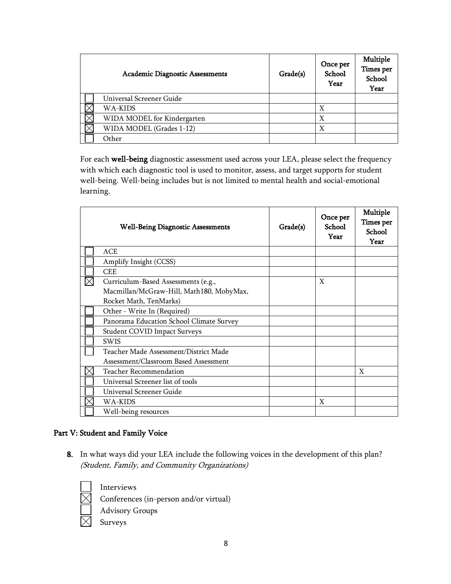| <b>Academic Diagnostic Assessments</b> | Grade(s) | Once per<br>School<br>Year | Multiple<br>Times per<br>School<br>Year |
|----------------------------------------|----------|----------------------------|-----------------------------------------|
| Universal Screener Guide               |          |                            |                                         |
| WA-KIDS                                |          | X                          |                                         |
| WIDA MODEL for Kindergarten            |          | X                          |                                         |
| WIDA MODEL (Grades 1-12)               |          | χ                          |                                         |
| Other                                  |          |                            |                                         |

For each well-being diagnostic assessment used across your LEA, please select the frequency with which each diagnostic tool is used to monitor, assess, and target supports for student well-being. Well-being includes but is not limited to mental health and social-emotional learning.

| <b>Well-Being Diagnostic Assessments</b> | Grade(s) | Once per<br><b>School</b><br>Year | Multiple<br>Times per<br><b>School</b><br>Year |
|------------------------------------------|----------|-----------------------------------|------------------------------------------------|
| ACE                                      |          |                                   |                                                |
| Amplify Insight (CCSS)                   |          |                                   |                                                |
| <b>CEE</b>                               |          |                                   |                                                |
| Curriculum-Based Assessments (e.g.,      |          | X                                 |                                                |
| Macmillan/McGraw-Hill, Math180, MobyMax, |          |                                   |                                                |
| Rocket Math, TenMarks)                   |          |                                   |                                                |
| Other - Write In (Required)              |          |                                   |                                                |
| Panorama Education School Climate Survey |          |                                   |                                                |
| <b>Student COVID Impact Surveys</b>      |          |                                   |                                                |
| <b>SWIS</b>                              |          |                                   |                                                |
| Teacher Made Assessment/District Made    |          |                                   |                                                |
| Assessment/Classroom Based Assessment    |          |                                   |                                                |
| <b>Teacher Recommendation</b>            |          |                                   | X                                              |
| Universal Screener list of tools         |          |                                   |                                                |
| Universal Screener Guide                 |          |                                   |                                                |
| WA-KIDS                                  |          | X                                 |                                                |
| Well-being resources                     |          |                                   |                                                |

# Part V: Student and Family Voice

8. In what ways did your LEA include the following voices in the development of this plan? (Student, Family, and Community Organizations)

Advisory Groups

Interviews

Conferences (in-person and/or virtual)

Surveys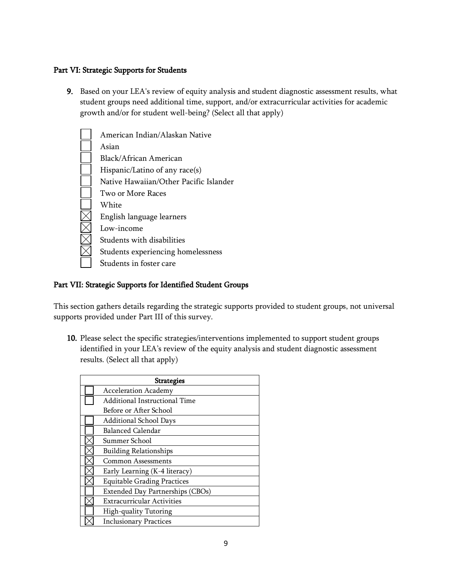## Part VI: Strategic Supports for Students

9. Based on your LEA's review of equity analysis and student diagnostic assessment results, what student groups need additional time, support, and/or extracurricular activities for academic growth and/or for student well-being? (Select all that apply)

| American Indian/Alaskan Native         |
|----------------------------------------|
| Asian                                  |
|                                        |
| Black/African American                 |
| Hispanic/Latino of any race(s)         |
| Native Hawaiian/Other Pacific Islander |
| Two or More Races                      |
| White                                  |
| English language learners              |
| Low-income                             |
| Students with disabilities             |
| Students experiencing homelessness     |
| Students in foster care                |

## Part VII: Strategic Supports for Identified Student Groups

This section gathers details regarding the strategic supports provided to student groups, not universal supports provided under Part III of this survey.

10. Please select the specific strategies/interventions implemented to support student groups identified in your LEA's review of the equity analysis and student diagnostic assessment results. (Select all that apply)

| <b>Strategies</b> |                                    |  |
|-------------------|------------------------------------|--|
|                   | <b>Acceleration Academy</b>        |  |
|                   | Additional Instructional Time      |  |
|                   | Before or After School             |  |
|                   | Additional School Days             |  |
|                   | Balanced Calendar                  |  |
|                   | Summer School                      |  |
|                   | <b>Building Relationships</b>      |  |
|                   | <b>Common Assessments</b>          |  |
|                   | Early Learning (K-4 literacy)      |  |
|                   | <b>Equitable Grading Practices</b> |  |
|                   | Extended Day Partnerships (CBOs)   |  |
|                   | <b>Extracurricular Activities</b>  |  |
|                   | High-quality Tutoring              |  |
|                   | <b>Inclusionary Practices</b>      |  |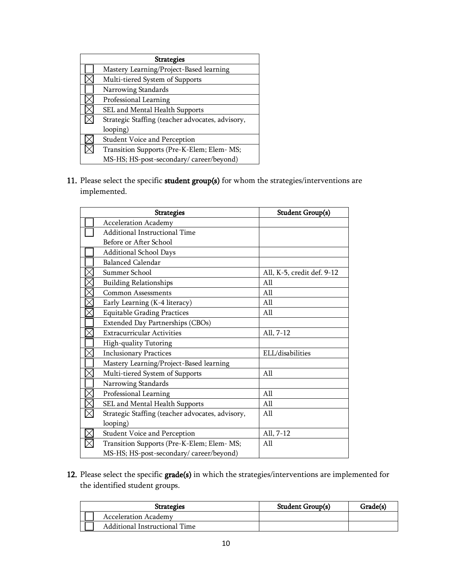| <b>Strategies</b> |                                                  |  |
|-------------------|--------------------------------------------------|--|
|                   | Mastery Learning/Project-Based learning          |  |
|                   | Multi-tiered System of Supports                  |  |
|                   | Narrowing Standards                              |  |
|                   | Professional Learning                            |  |
|                   | SEL and Mental Health Supports                   |  |
|                   | Strategic Staffing (teacher advocates, advisory, |  |
|                   | looping)                                         |  |
|                   | Student Voice and Perception                     |  |
|                   | Transition Supports (Pre-K-Elem; Elem- MS;       |  |
|                   | MS-HS; HS-post-secondary/career/beyond)          |  |

11. Please select the specific student group(s) for whom the strategies/interventions are implemented.

| <b>Strategies</b> |                                                  | <b>Student Group(s)</b>    |
|-------------------|--------------------------------------------------|----------------------------|
|                   | <b>Acceleration Academy</b>                      |                            |
|                   | Additional Instructional Time                    |                            |
|                   | Before or After School                           |                            |
|                   | Additional School Days                           |                            |
|                   | <b>Balanced Calendar</b>                         |                            |
|                   | Summer School                                    | All, K-5, credit def. 9-12 |
|                   | <b>Building Relationships</b>                    | All                        |
|                   | <b>Common Assessments</b>                        | All                        |
|                   | Early Learning (K-4 literacy)                    | All                        |
|                   | <b>Equitable Grading Practices</b>               | All                        |
|                   | Extended Day Partnerships (CBOs)                 |                            |
|                   | <b>Extracurricular Activities</b>                | All, 7-12                  |
|                   | High-quality Tutoring                            |                            |
|                   | <b>Inclusionary Practices</b>                    | ELL/disabilities           |
|                   | Mastery Learning/Project-Based learning          |                            |
|                   | Multi-tiered System of Supports                  | All                        |
|                   | Narrowing Standards                              |                            |
|                   | Professional Learning                            | All                        |
|                   | SEL and Mental Health Supports                   | All                        |
|                   | Strategic Staffing (teacher advocates, advisory, | All                        |
|                   | looping)                                         |                            |
|                   | Student Voice and Perception                     | All, 7-12                  |
|                   | Transition Supports (Pre-K-Elem; Elem- MS;       | All                        |
|                   | MS-HS; HS-post-secondary/career/beyond)          |                            |

12. Please select the specific grade(s) in which the strategies/interventions are implemented for the identified student groups.

| <b>Strategies</b>             | Student Group(s) | Grade(s) |
|-------------------------------|------------------|----------|
| <b>Acceleration Academy</b>   |                  |          |
| Additional Instructional Time |                  |          |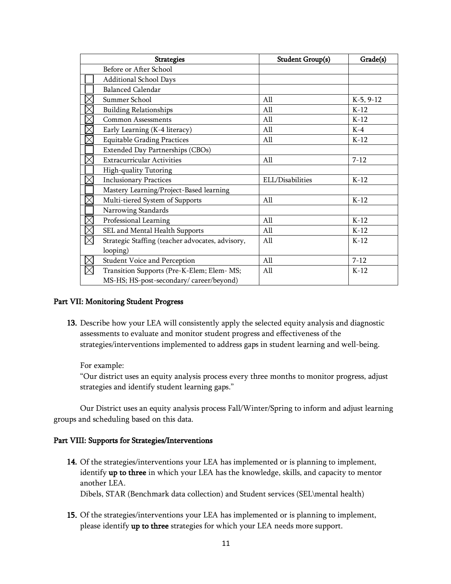| <b>Strategies</b> |                                                  | <b>Student Group(s)</b> | Grade(s)    |
|-------------------|--------------------------------------------------|-------------------------|-------------|
|                   | Before or After School                           |                         |             |
|                   | Additional School Days                           |                         |             |
|                   | <b>Balanced Calendar</b>                         |                         |             |
|                   | Summer School                                    | All                     | $K-5, 9-12$ |
|                   | <b>Building Relationships</b>                    | All                     | $K-12$      |
|                   | <b>Common Assessments</b>                        | All                     | $K-12$      |
|                   | Early Learning (K-4 literacy)                    | All                     | $K-4$       |
|                   | <b>Equitable Grading Practices</b>               | All                     | $K-12$      |
|                   | Extended Day Partnerships (CBOs)                 |                         |             |
|                   | <b>Extracurricular Activities</b>                | All                     | $7 - 12$    |
|                   | High-quality Tutoring                            |                         |             |
|                   | <b>Inclusionary Practices</b>                    | ELL/Disabilities        | $K-12$      |
|                   | Mastery Learning/Project-Based learning          |                         |             |
|                   | Multi-tiered System of Supports                  | All                     | $K-12$      |
|                   | Narrowing Standards                              |                         |             |
|                   | Professional Learning                            | All                     | $K-12$      |
|                   | SEL and Mental Health Supports                   | All                     | $K-12$      |
|                   | Strategic Staffing (teacher advocates, advisory, | All                     | $K-12$      |
|                   | looping)                                         |                         |             |
|                   | Student Voice and Perception                     | All                     | $7 - 12$    |
|                   | Transition Supports (Pre-K-Elem; Elem- MS;       | All                     | $K-12$      |
|                   | MS-HS; HS-post-secondary/career/beyond)          |                         |             |

#### Part VII: Monitoring Student Progress

13. Describe how your LEA will consistently apply the selected equity analysis and diagnostic assessments to evaluate and monitor student progress and effectiveness of the strategies/interventions implemented to address gaps in student learning and well-being.

For example:

"Our district uses an equity analysis process every three months to monitor progress, adjust strategies and identify student learning gaps."

Our District uses an equity analysis process Fall/Winter/Spring to inform and adjust learning groups and scheduling based on this data.

#### Part VIII: Supports for Strategies/Interventions

- 14. Of the strategies/interventions your LEA has implemented or is planning to implement, identify up to three in which your LEA has the knowledge, skills, and capacity to mentor another LEA. Dibels, STAR (Benchmark data collection) and Student services (SEL\mental health)
- 15. Of the strategies/interventions your LEA has implemented or is planning to implement, please identify up to three strategies for which your LEA needs more support.